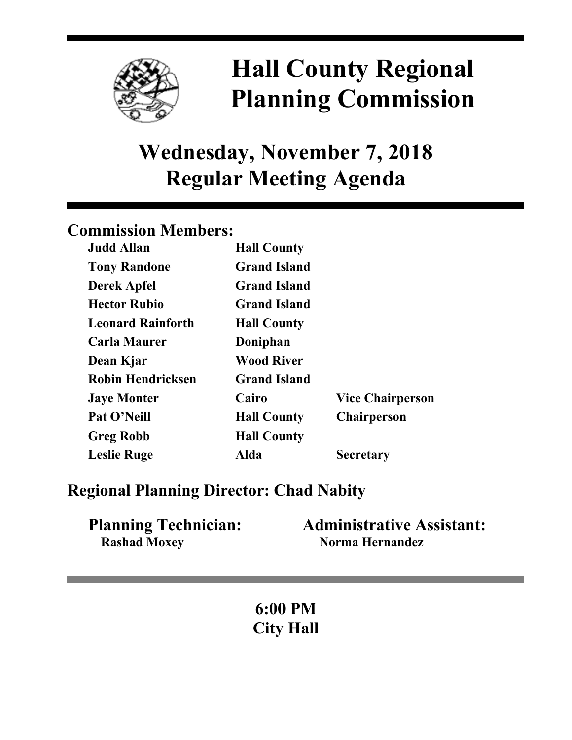

# **Hall County Regional Planning Commission**

**Wednesday, November 7, 2018 Regular Meeting Agenda**

# **Commission Members:**

| <b>Judd Allan</b>        | <b>Hall County</b>  |                         |
|--------------------------|---------------------|-------------------------|
| <b>Tony Randone</b>      | <b>Grand Island</b> |                         |
| <b>Derek Apfel</b>       | <b>Grand Island</b> |                         |
| <b>Hector Rubio</b>      | <b>Grand Island</b> |                         |
| <b>Leonard Rainforth</b> | <b>Hall County</b>  |                         |
| <b>Carla Maurer</b>      | Doniphan            |                         |
| Dean Kjar                | <b>Wood River</b>   |                         |
| <b>Robin Hendricksen</b> | <b>Grand Island</b> |                         |
| <b>Jaye Monter</b>       | Cairo               | <b>Vice Chairperson</b> |
| Pat O'Neill              | <b>Hall County</b>  | <b>Chairperson</b>      |
| <b>Greg Robb</b>         | <b>Hall County</b>  |                         |
| <b>Leslie Ruge</b>       | Alda                | <b>Secretary</b>        |

# **Regional Planning Director: Chad Nabity**

| <b>Planning Technician:</b> | <b>Administrative Assistant:</b> |
|-----------------------------|----------------------------------|
| <b>Rashad Moxey</b>         | Norma Hernandez                  |

**6:00 PM City Hall**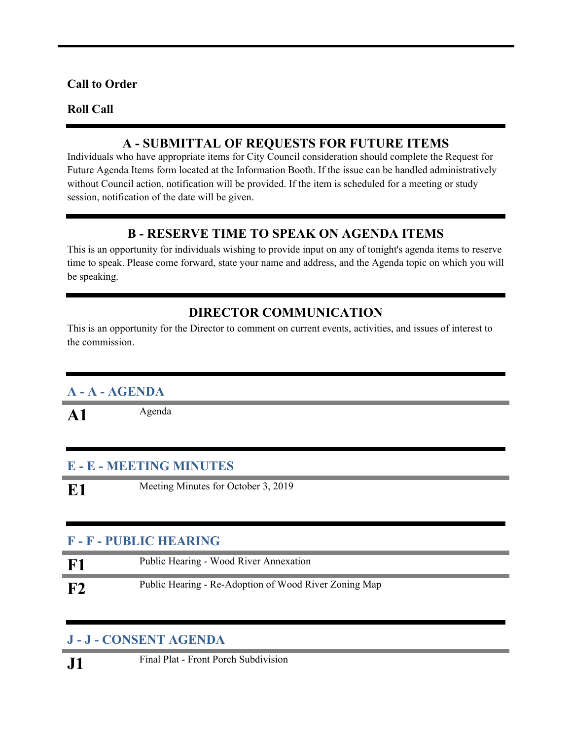### **Call to Order**

#### **Roll Call**

## **A - SUBMITTAL OF REQUESTS FOR FUTURE ITEMS**

Individuals who have appropriate items for City Council consideration should complete the Request for Future Agenda Items form located at the Information Booth. If the issue can be handled administratively without Council action, notification will be provided. If the item is scheduled for a meeting or study session, notification of the date will be given.

## **B - RESERVE TIME TO SPEAK ON AGENDA ITEMS**

This is an opportunity for individuals wishing to provide input on any of tonight's agenda items to reserve time to speak. Please come forward, state your name and address, and the Agenda topic on which you will be speaking.

# **DIRECTOR COMMUNICATION**

This is an opportunity for the Director to comment on current events, activities, and issues of interest to the commission.

# **A - A - AGENDA**

A1 Agenda

### **E - E - MEETING MINUTES**

**E1** Meeting Minutes for October 3, 2019

### **F - F - PUBLIC HEARING**

| <b>F1</b> | Public Hearing - Wood River Annexation                |
|-----------|-------------------------------------------------------|
| F2        | Public Hearing - Re-Adoption of Wood River Zoning Map |

### **J - J - CONSENT AGENDA**

**J1** Final Plat - Front Porch Subdivision